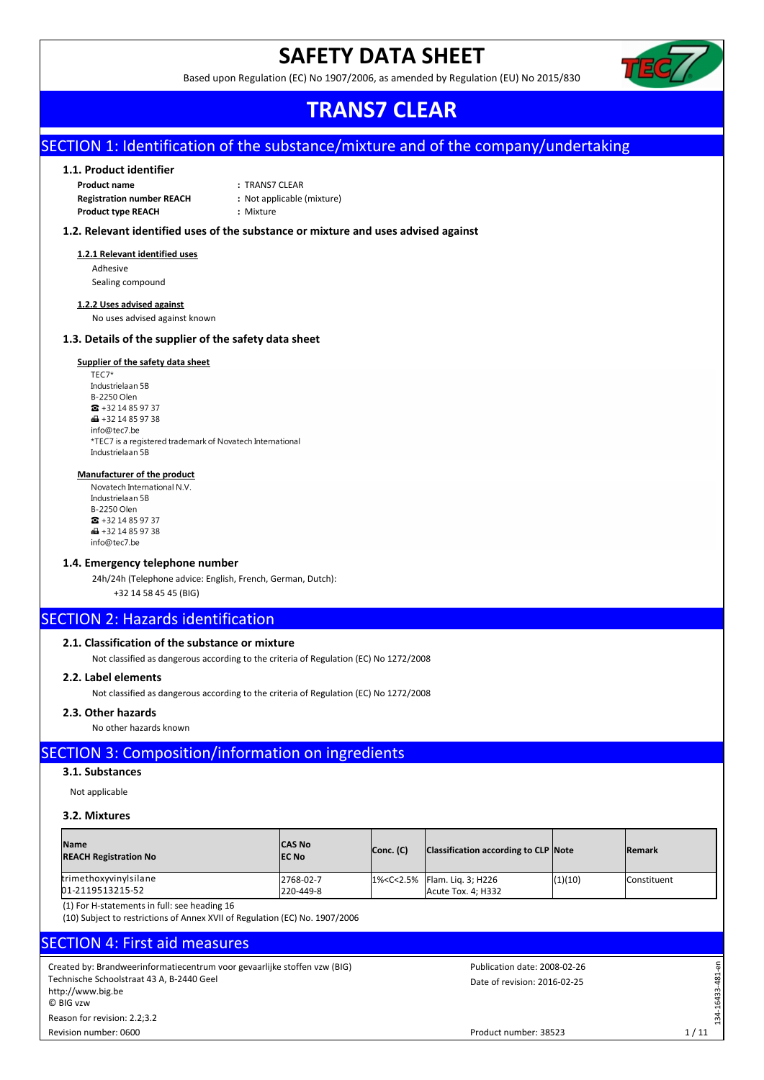## **SAFETY DATA SHEET**

Based upon Regulation (EC) No 1907/2006, as amended by Regulation (EU) No 2015/830



## **TRANS7 CLEAR**

## SECTION 1: Identification of the substance/mixture and of the company/undertaking

### **1.1. Product identifier**

**Product name :** TRANS7 CLEAR **Registration number REACH :** Not applicable (mixture) **Product type REACH :** Mixture

### **1.2. Relevant identified uses of the substance or mixture and uses advised against**

### **1.2.1 Relevant identified uses**

Adhesive Sealing compound

### **1.2.2 Uses advised against**

No uses advised against known

### **1.3. Details of the supplier of the safety data sheet**

## **Supplier of the safety data sheet**<br>TEC7\*

Industrielaan 5B **B-2250 Olen**  $\bullet$  +32 14 85 97 37  $\bigoplus$  +32 14 85 97 38 info@tec7.be \*TEC7 is a registered trademark of Novatech International Industrielaan 5B

### **Manufacturer of the product**

Novatech International N.V. Industrielaan 5B B-2250 Olen  $\bullet$  +32 14 85 97 37  $\bigoplus$  +32 14 85 97 38 info@tec7.be

### **1.4. Emergency telephone number**

24h/24h (Telephone advice: English, French, German, Dutch):

+32 14 58 45 45 (BIG)

## **SECTION 2: Hazards identification**

### **2.1. Classification of the substance or mixture**

Not classified as dangerous according to the criteria of Regulation (EC) No 1272/2008

### **2.2. Label elements**

Not classified as dangerous according to the criteria of Regulation (EC) No 1272/2008

### **2.3. Other hazards**

No other hazards known

## SECTION 3: Composition/information on ingredients

### **3.1. Substances**

Not applicable

### **3.2. Mixtures**

| <b>Name</b><br><b>REACH Registration No</b> | <b>CAS No</b><br><b>IEC No</b> | Conc. (C) | Classification according to CLP Note                                          |         | <b>IRemark</b>     |
|---------------------------------------------|--------------------------------|-----------|-------------------------------------------------------------------------------|---------|--------------------|
| trimethoxyvinylsilane<br>01-2119513215-52   | 2768-02-7<br>220-449-8         |           | 1% <c<2.5% 3;="" flam.="" h226<br="" lig.=""  ="">Acute Tox. 4; H332</c<2.5%> | (1)(10) | <b>Constituent</b> |

(1) For H-statements in full: see heading 16

(10) Subject to restrictions of Annex XVII of Regulation (EC) No. 1907/2006

## SECTION 4: First aid measures

Created by: Brandweerinformatiecentrum voor gevaarlijke stoffen vzw (BIG) Technische Schoolstraat 43 A, B-2440 Geel http://www.big.be © BIG vzw Revision number: 0600 Reason for revision: 2.2;3.2

Date of revision: 2016-02-25 Publication date: 2008-02-26

1 / 11

134-16433-481-en

134-16433-481

 $\overline{q}$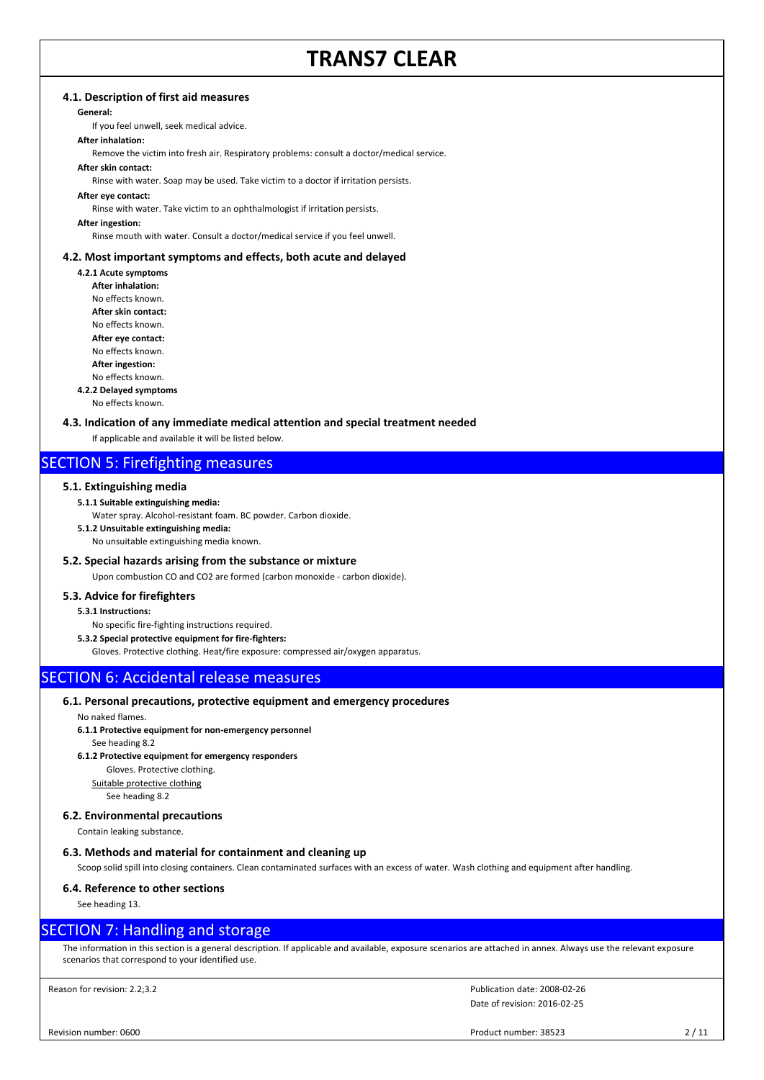### **4.1. Description of first aid measures**

### **General:**

If you feel unwell, seek medical advice.

### **After inhalation:**

Remove the victim into fresh air. Respiratory problems: consult a doctor/medical service.

### **After skin contact:**

Rinse with water. Soap may be used. Take victim to a doctor if irritation persists.

#### **After eye contact:**

Rinse with water. Take victim to an ophthalmologist if irritation persists.

#### **After ingestion:**

Rinse mouth with water. Consult a doctor/medical service if you feel unwell.

### **4.2. Most important symptoms and effects, both acute and delayed**

- **4.2.1 Acute symptoms**
	- **After inhalation:** No effects known. **After skin contact:** No effects known. **After eye contact:**

No effects known.

**After ingestion:**

#### No effects known. **4.2.2 Delayed symptoms**

No effects known.

### **4.3. Indication of any immediate medical attention and special treatment needed**

If applicable and available it will be listed below.

## SECTION 5: Firefighting measures

### **5.1. Extinguishing media**

- **5.1.1 Suitable extinguishing media:**
- Water spray. Alcohol-resistant foam. BC powder. Carbon dioxide.
- **5.1.2 Unsuitable extinguishing media:**

No unsuitable extinguishing media known.

### **5.2. Special hazards arising from the substance or mixture**

Upon combustion CO and CO2 are formed (carbon monoxide - carbon dioxide).

### **5.3. Advice for firefighters**

### **5.3.1 Instructions:**

- No specific fire-fighting instructions required.
- **5.3.2 Special protective equipment for fire-fighters:**

Gloves. Protective clothing. Heat/fire exposure: compressed air/oxygen apparatus.

## SECTION 6: Accidental release measures

### **6.1. Personal precautions, protective equipment and emergency procedures**

### No naked flames.

- **6.1.1 Protective equipment for non-emergency personnel** See heading 8.2
- **6.1.2 Protective equipment for emergency responders**

Gloves. Protective clothing.

Suitable protective clothing

See heading 8.2

### **6.2. Environmental precautions**

Contain leaking substance.

### **6.3. Methods and material for containment and cleaning up**

Scoop solid spill into closing containers. Clean contaminated surfaces with an excess of water. Wash clothing and equipment after handling.

### **6.4. Reference to other sections**

See heading 13.

### SECTION 7: Handling and storage

The information in this section is a general description. If applicable and available, exposure scenarios are attached in annex. Always use the relevant exposure scenarios that correspond to your identified use.

Reason for revision: 2.2;3.2

Date of revision: 2016-02-25 Publication date: 2008-02-26

Revision number: 0600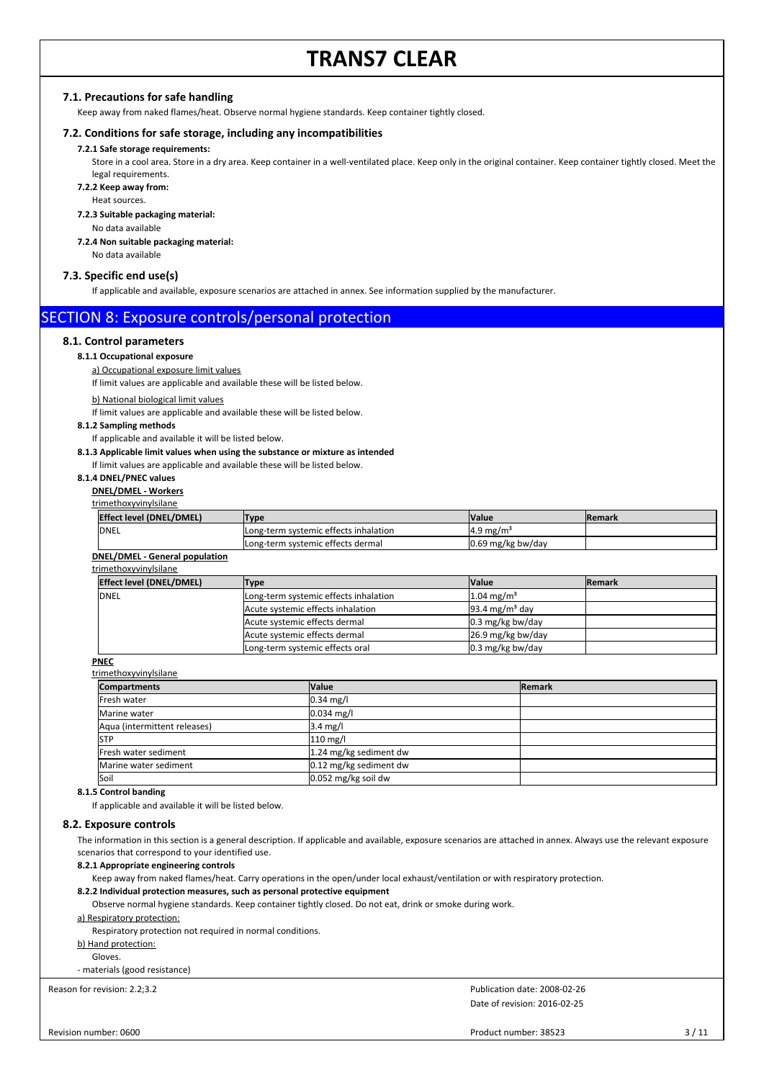### **7.1. Precautions for safe handling**

Keep away from naked flames/heat. Observe normal hygiene standards. Keep container tightly closed.

### **7.2. Conditions for safe storage, including any incompatibilities**

### **7.2.1 Safe storage requirements:**

Store in a cool area. Store in a dry area. Keep container in a well-ventilated place. Keep only in the original container. Keep container tightly closed. Meet the legal requirements.

### **7.2.2 Keep away from:**

Heat sources.

### **7.2.3 Suitable packaging material:**

No data available

### **7.2.4 Non suitable packaging material:**

No data available

### **7.3. Specific end use(s)**

If applicable and available, exposure scenarios are attached in annex. See information supplied by the manufacturer.

### SECTION 8: Exposure controls/personal protection

### **8.1. Control parameters**

#### **8.1.1 Occupational exposure**

a) Occupational exposure limit values

If limit values are applicable and available these will be listed below.

### b) National biological limit values

If limit values are applicable and available these will be listed below.

#### **8.1.2 Sampling methods**

If applicable and available it will be listed below.

### **8.1.3 Applicable limit values when using the substance or mixture as intended**

If limit values are applicable and available these will be listed below.

### **8.1.4 DNEL/PNEC values**

**DNEL/DMEL - Workers**

#### trimethoxyvinylsilane

| Effect level (DNEL/DMEL) | Type                                  | <b>Nalue</b>          | <b>IRemark</b> |
|--------------------------|---------------------------------------|-----------------------|----------------|
| DNEL                     | Long-term systemic effects inhalation | $14.9 \text{ mg/m}^3$ |                |
|                          | Long-term systemic effects dermal     | $0.69$ mg/kg bw/day   |                |
|                          |                                       |                       |                |

### **DNEL/DMEL - General population**

### trimethoxyvinylsilane

| Effect level (DNEL/DMEL) | Type                                  | <b>Value</b>               | <b>IRemark</b> |
|--------------------------|---------------------------------------|----------------------------|----------------|
| <b>DNEL</b>              | Long-term systemic effects inhalation | $1.04 \text{ mg/m}^3$      |                |
|                          | Acute systemic effects inhalation     | $93.4 \text{ mg/m}^3$ day  |                |
|                          | Acute systemic effects dermal         | $0.3 \text{ mg/kg}$ bw/day |                |
|                          | Acute systemic effects dermal         | $26.9$ mg/kg bw/day        |                |
|                          | Long-term systemic effects oral       | $0.3$ mg/kg bw/day         |                |

### **PNEC**

trimethoxyvinylsilane **Compartments Remark Remark Remark Propose 2014 Remark Remark Remark** Fresh water  $\sqrt{0.34 \text{ mg/l}}$ Marine water  $|0.034 \text{ mg/II}|$ Aqua (intermittent releases) 3.4 mg/l STP 210 mg/l Fresh water sediment 1.24 mg/kg sediment dw Marine water sediment 1.12 mg/kg sediment dw Soil 0.052 mg/kg soil dw

### **8.1.5 Control banding**

If applicable and available it will be listed below.

### **8.2. Exposure controls**

The information in this section is a general description. If applicable and available, exposure scenarios are attached in annex. Always use the relevant exposure scenarios that correspond to your identified use.

#### **8.2.1 Appropriate engineering controls**

Keep away from naked flames/heat. Carry operations in the open/under local exhaust/ventilation or with respiratory protection.

### **8.2.2 Individual protection measures, such as personal protective equipment**

Observe normal hygiene standards. Keep container tightly closed. Do not eat, drink or smoke during work.

### a) Respiratory protection:

Respiratory protection not required in normal conditions.

### b) Hand protection:

Gloves.

- materials (good resistance)

Reason for revision: 2.2;3.2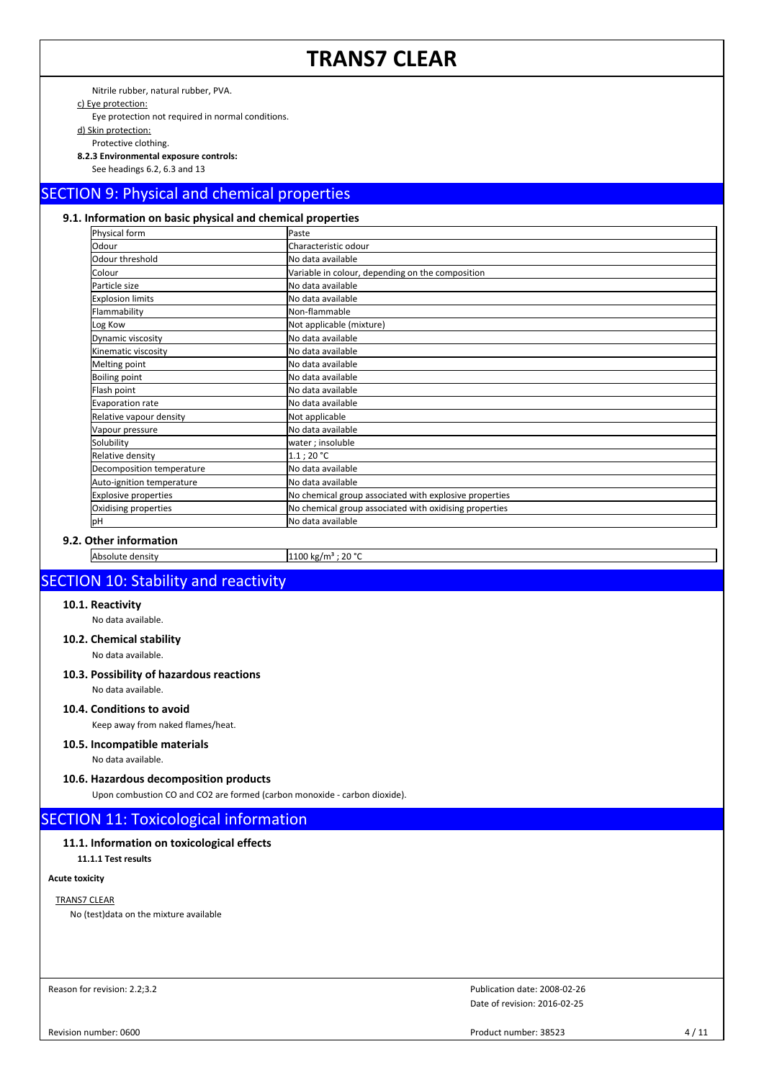Nitrile rubber, natural rubber, PVA.

c) Eye protection:

Eye protection not required in normal conditions.

d) Skin protection:

Protective clothing.

**8.2.3 Environmental exposure controls:** See headings 6.2, 6.3 and 13

# SECTION 9: Physical and chemical properties

## **9.1. Information on basic physical and chemical properties**

| Physical form               | Paste                                                  |
|-----------------------------|--------------------------------------------------------|
| Odour                       | Characteristic odour                                   |
| Odour threshold             | No data available                                      |
| Colour                      | Variable in colour, depending on the composition       |
| Particle size               | No data available                                      |
| <b>Explosion limits</b>     | No data available                                      |
| Flammability                | Non-flammable                                          |
| Log Kow                     | Not applicable (mixture)                               |
| Dynamic viscosity           | No data available                                      |
| Kinematic viscosity         | No data available                                      |
| Melting point               | No data available                                      |
| <b>Boiling point</b>        | No data available                                      |
| Flash point                 | No data available                                      |
| Evaporation rate            | No data available                                      |
| Relative vapour density     | Not applicable                                         |
| Vapour pressure             | No data available                                      |
| Solubility                  | water; insoluble                                       |
| Relative density            | 1.1:20 °C                                              |
| Decomposition temperature   | No data available                                      |
| Auto-ignition temperature   | No data available                                      |
| <b>Explosive properties</b> | No chemical group associated with explosive properties |
| Oxidising properties        | No chemical group associated with oxidising properties |
| lрН                         | No data available                                      |

**9.2. Other information**

Absolute density 1100 kg/m<sup>3</sup> ; 20 °C

## SECTION 10: Stability and reactivity

### **10.1. Reactivity**

No data available.

### **10.2. Chemical stability**

No data available.

### **10.3. Possibility of hazardous reactions** No data available.

### **10.4. Conditions to avoid**

Keep away from naked flames/heat.

### **10.5. Incompatible materials**

No data available.

### **10.6. Hazardous decomposition products**

Upon combustion CO and CO2 are formed (carbon monoxide - carbon dioxide).

## SECTION 11: Toxicological information

### **11.1. Information on toxicological effects**

**11.1.1 Test results**

### **Acute toxicity**

### TRANS7 CLEAR

No (test)data on the mixture available

Reason for revision: 2.2;3.2

Date of revision: 2016-02-25 Publication date: 2008-02-26

Revision number: 0600

Product number: 38523 4 / 11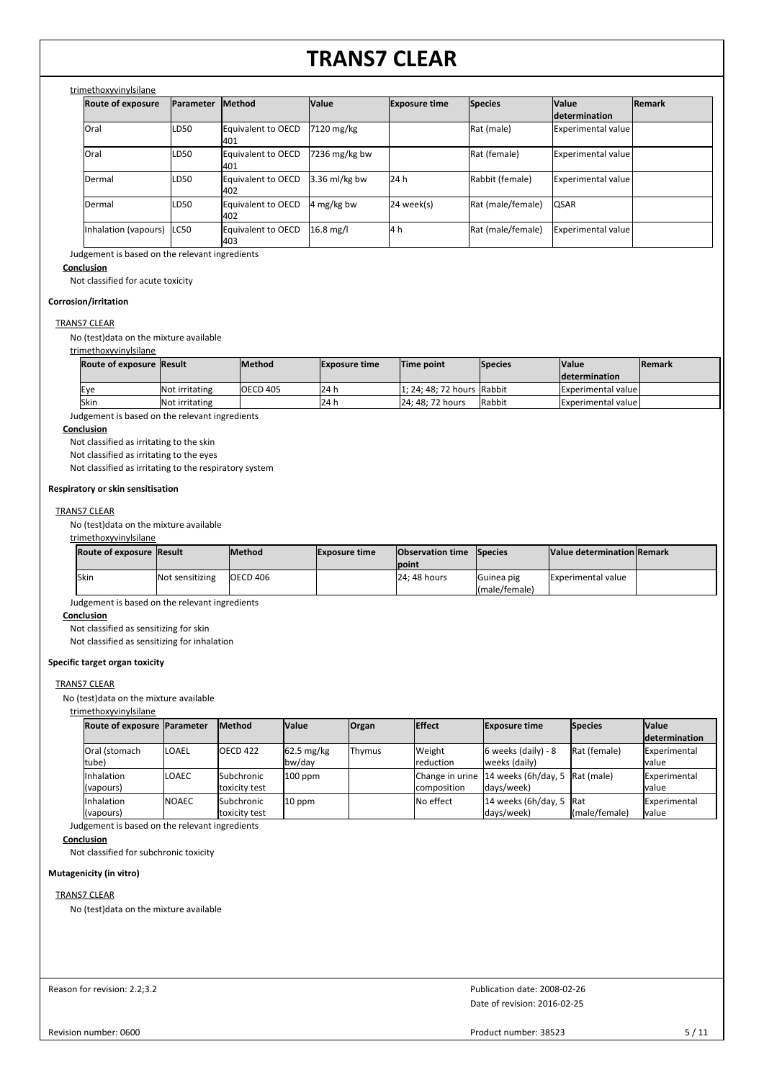### trimethoxyvinylsilane

| <b>Route of exposure</b> | <b>Parameter</b> | <b>Method</b>              | Value           | <b>Exposure time</b> | <b>Species</b>    | <b>Value</b><br><i>determination</i> | <b>Remark</b> |
|--------------------------|------------------|----------------------------|-----------------|----------------------|-------------------|--------------------------------------|---------------|
| lOral                    | LD50             | Equivalent to OECD<br>401  | 7120 mg/kg      |                      | Rat (male)        | Experimental value                   |               |
| Oral                     | LD50             | Equivalent to OECD<br>401  | $7236$ mg/kg bw |                      | Rat (female)      | Experimental value                   |               |
| Dermal                   | LD50             | Equivalent to OECD<br>402  | 3.36 ml/kg bw   | 124h                 | Rabbit (female)   | Experimental value                   |               |
| Dermal                   | LD50             | Equivalent to OECD<br>1402 | 4 mg/kg bw      | 24 week(s)           | Rat (male/female) | <b>QSAR</b>                          |               |
| Inhalation (vapours)     | ILC50            | Equivalent to OECD<br>1403 | $16.8$ mg/l     | l4h                  | Rat (male/female) | Experimental value                   |               |

Judgement is based on the relevant ingredients

### **Conclusion**

Not classified for acute toxicity

### **Corrosion/irritation**

### TRANS7 CLEAR

No (test)data on the mixture available

### trimethoxyvinylsilane

| Route of exposure Result |                       | lMethod         | <b>Exposure time</b> | Time point                 | <b>Species</b> | <b>Value</b>              | <b>IRemark</b> |
|--------------------------|-----------------------|-----------------|----------------------|----------------------------|----------------|---------------------------|----------------|
|                          |                       |                 |                      |                            |                | <b>Idetermination</b>     |                |
| Eve                      | <b>Not irritating</b> | <b>OECD 405</b> | 124 h                | 1: 24: 48: 72 hours Rabbit |                | <b>Experimental value</b> |                |
| <b>Skin</b>              | Not irritating        |                 | <b>24 h</b>          | 24: 48: 72 hours           | <b>Rabbit</b>  | <b>Experimental value</b> |                |

Judgement is based on the relevant ingredients

### **Conclusion**

Not classified as irritating to the skin

Not classified as irritating to the eyes

Not classified as irritating to the respiratory system

#### **Respiratory or skin sensitisation**

### TRANS7 CLEAR

No (test)data on the mixture available

### trimethoxyvinylsilane

| <b>Route of exposure Result</b> |                 | <b>Method</b> | <b>Exposure time</b> | <b>Observation time Species</b> |                    | <b>Value determination Remark</b> |  |
|---------------------------------|-----------------|---------------|----------------------|---------------------------------|--------------------|-----------------------------------|--|
|                                 |                 |               |                      | <b>lpoint</b>                   |                    |                                   |  |
| <b>Skin</b>                     | Not sensitizing | IOECD 406     |                      | <b>24: 48 hours</b>             | <b>IGuinea</b> pig | <b>Experimental value</b>         |  |
|                                 |                 |               |                      |                                 | (male/female)      |                                   |  |

Judgement is based on the relevant ingredients

### **Conclusion**

Not classified as sensitizing for skin

Not classified as sensitizing for inhalation

### **Specific target organ toxicity**

### TRANS7 CLEAR

No (test)data on the mixture available

### trimethoxyvinylsilane

| Route of exposure Parameter |               | <b>Method</b>     | <b>Value</b> | <b>Organ</b> | <b>Effect</b> | <b>Exposure time</b>                           | <b>Species</b> | <b>Value</b>         |
|-----------------------------|---------------|-------------------|--------------|--------------|---------------|------------------------------------------------|----------------|----------------------|
|                             |               |                   |              |              |               |                                                |                | <i>determination</i> |
| <b>Oral (stomach)</b>       | <b>ILOAEL</b> | IOECD 422         | 62.5 mg/kg   | Thymus       | Weight        | $6$ weeks (daily) - 8                          | Rat (female)   | <b>IExperimental</b> |
| tube)                       |               |                   | bw/day       |              | reduction     | weeks (daily)                                  |                | lvalue               |
| <b>Inhalation</b>           | <b>LOAEC</b>  | <b>Subchronic</b> | $100$ ppm    |              |               | Change in urine 14 weeks (6h/day, 5 Rat (male) |                | <b>IExperimental</b> |
| (vapours)                   |               | toxicity test     |              |              | composition   | days/week)                                     |                | Ivalue               |
| <b>Inhalation</b>           | <b>NOAEC</b>  | <b>Subchronic</b> | $10$ ppm     |              | No effect     | 14 weeks $(6h/day, 5$ Rat                      |                | Experimental         |
| (vapours)                   |               | toxicity test     |              |              |               | days/week)                                     | (male/female)  | <b>I</b> value       |

Judgement is based on the relevant ingredients

### **Conclusion**

Not classified for subchronic toxicity

### **Mutagenicity (in vitro)**

### TRANS7 CLEAR

No (test)data on the mixture available

| Reason for revision: 2.2;3.2 |  |  |  |
|------------------------------|--|--|--|
|------------------------------|--|--|--|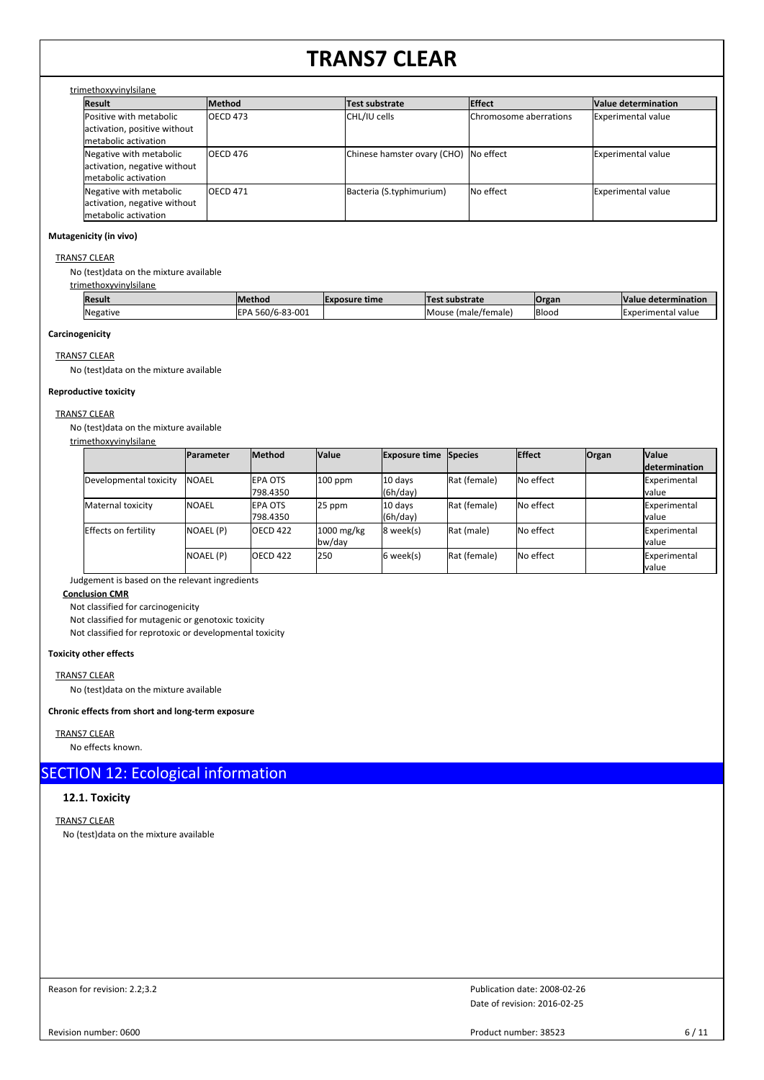### trimethoxyvinylsilane

| <b>Result</b>                | Method          | Test substrate                        | <b>Effect</b>                  | Value determination |  |  |  |  |
|------------------------------|-----------------|---------------------------------------|--------------------------------|---------------------|--|--|--|--|
| Positive with metabolic      | <b>OECD 473</b> | CHL/IU cells                          | <b>IChromosome aberrations</b> | Experimental value  |  |  |  |  |
| activation, positive without |                 |                                       |                                |                     |  |  |  |  |
| metabolic activation         |                 |                                       |                                |                     |  |  |  |  |
| Negative with metabolic      | <b>OECD 476</b> | Chinese hamster ovary (CHO) No effect |                                | Experimental value  |  |  |  |  |
| activation, negative without |                 |                                       |                                |                     |  |  |  |  |
| metabolic activation         |                 |                                       |                                |                     |  |  |  |  |
| Negative with metabolic      | <b>OECD 471</b> | Bacteria (S.typhimurium)              | <b>No effect</b>               | Experimental value  |  |  |  |  |
| activation, negative without |                 |                                       |                                |                     |  |  |  |  |
| metabolic activation         |                 |                                       |                                |                     |  |  |  |  |

### **Mutagenicity (in vivo)**

### TRANS7 CLEAR

No (test)data on the mixture available

### trimethoxyvinylsilane

| <b> Resul</b> เ | lMethod                                             | <b>IExposure time</b> | Tort.<br>substrate     | <b>Organ</b> | <b>Value</b><br>e determinatior |
|-----------------|-----------------------------------------------------|-----------------------|------------------------|--------------|---------------------------------|
| <b>Negative</b> | $\sim$<br>$\cap$<br>560/6<br><b>FPA</b><br>¬-83-∪∪⊥ |                       | (male/female)<br>Mouse | <b>Blood</b> | Experim<br>' value<br>eental    |

### **Carcinogenicity**

TRANS7 CLEAR

No (test)data on the mixture available

### **Reproductive toxicity**

### TRANS7 CLEAR

No (test)data on the mixture available

| trimethoxyvinylsilane  |                   |                             |                        |                              |              |               |              |                                      |
|------------------------|-------------------|-----------------------------|------------------------|------------------------------|--------------|---------------|--------------|--------------------------------------|
|                        | <b>Parameter</b>  | <b>Method</b>               | Value                  | <b>Exposure time Species</b> |              | <b>Effect</b> | <b>Organ</b> | <b>Value</b><br><b>determination</b> |
| Developmental toxicity | <b>INOAEL</b>     | <b>IEPA OTS</b><br>798.4350 | $100$ ppm              | 10 days<br>(6h/day)          | Rat (female) | No effect     |              | Experimental<br>lvalue               |
| Maternal toxicity      | <b>INOAEL</b>     | <b>IEPA OTS</b><br>798.4350 | 25 ppm                 | 10 days<br>(6h/day)          | Rat (female) | No effect     |              | Experimental<br>lvalue               |
| Effects on fertility   | <b>INOAEL (P)</b> | <b>OECD 422</b>             | $1000$ mg/kg<br>bw/day | 8 week(s)                    | Rat (male)   | No effect     |              | Experimental<br>lvalue               |
|                        | NOAEL (P)         | <b>OECD 422</b>             | 250                    | 6 week(s)                    | Rat (female) | No effect     |              | Experimental<br>lvalue               |

Judgement is based on the relevant ingredients

### **Conclusion CMR**

Not classified for carcinogenicity

Not classified for mutagenic or genotoxic toxicity

Not classified for reprotoxic or developmental toxicity

### **Toxicity other effects**

TRANS7 CLEAR

No (test)data on the mixture available

### **Chronic effects from short and long-term exposure**

### TRANS7 CLEAR

No effects known.

## SECTION 12: Ecological information

### **12.1. Toxicity**

TRANS7 CLEAR No (test)data on the mixture available

Reason for revision: 2.2;3.2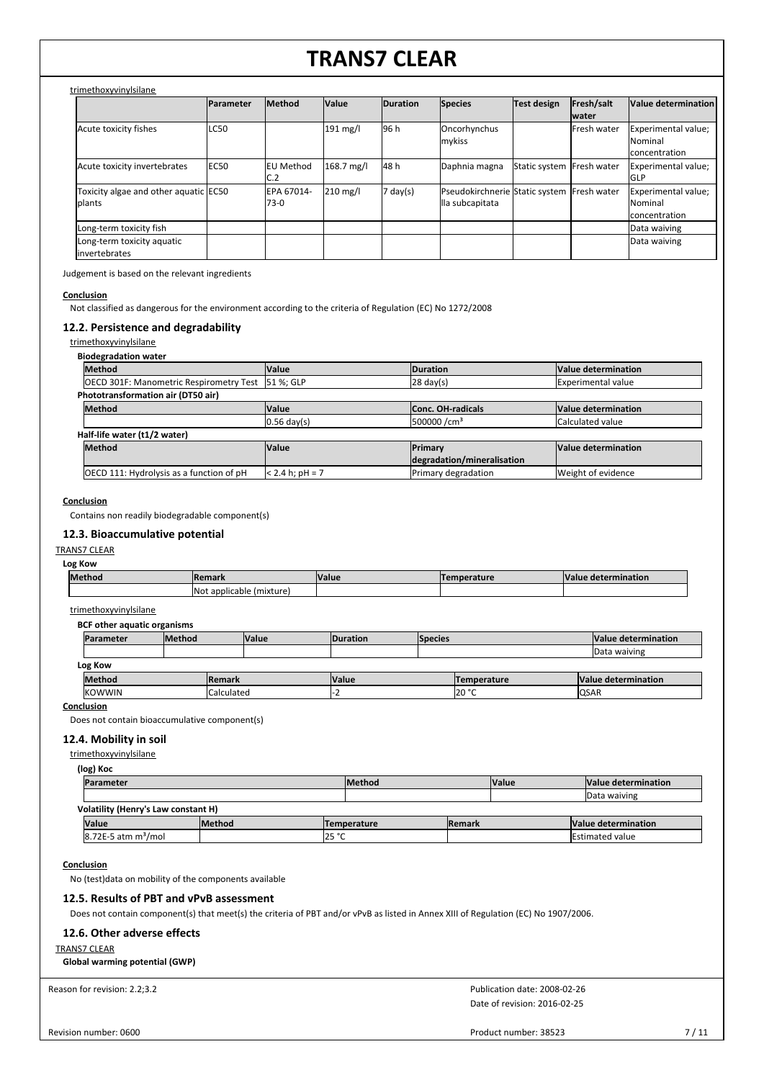### trimethoxyvinylsilane

|                                                          | Parameter   | Method                  | Value                | <b>Duration</b> | <b>Species</b>                                                | Test design               | Fresh/salt<br><b>water</b> | Value determination                             |
|----------------------------------------------------------|-------------|-------------------------|----------------------|-----------------|---------------------------------------------------------------|---------------------------|----------------------------|-------------------------------------------------|
| Acute toxicity fishes                                    | <b>LC50</b> |                         | $191 \text{ mg/l}$   | 96 h            | Oncorhynchus<br>mykiss                                        |                           | <b>IFresh water</b>        | Experimental value;<br>Nominal<br>concentration |
| Acute toxicity invertebrates                             | <b>EC50</b> | <b>EU Method</b><br>C.2 | $168.7 \text{ mg/l}$ | 48 h            | Daphnia magna                                                 | Static system Fresh water |                            | Experimental value;<br>lglp                     |
| Toxicity algae and other aquatic EC50<br><b>I</b> plants |             | EPA 67014-<br>73-0      | $210$ mg/l           | day(s)          | Pseudokirchnerie Static system Fresh water<br>lla subcapitata |                           |                            | Experimental value;<br>Nominal<br>concentration |
| Long-term toxicity fish                                  |             |                         |                      |                 |                                                               |                           |                            | Data waiving                                    |
| Long-term toxicity aquatic<br>linvertebrates             |             |                         |                      |                 |                                                               |                           |                            | Data waiving                                    |

Judgement is based on the relevant ingredients

#### **Conclusion**

Not classified as dangerous for the environment according to the criteria of Regulation (EC) No 1272/2008

### **12.2. Persistence and degradability**

trimethoxyvinylsilane

### **Biodegradation water**

| <b>Method</b>                                     | <b>Value</b>      | <b>Duration</b>            | Value determination       |  |  |
|---------------------------------------------------|-------------------|----------------------------|---------------------------|--|--|
| OECD 301F: Manometric Respirometry Test 51 %; GLP |                   | $ 28 \text{ day}(s) $      | <b>Experimental value</b> |  |  |
| Phototransformation air (DT50 air)                |                   |                            |                           |  |  |
| <b>Method</b>                                     | <b>Value</b>      | <b>Conc. OH-radicals</b>   | Value determination       |  |  |
|                                                   | $0.56$ day(s)     | 500000 /cm <sup>3</sup>    | Calculated value          |  |  |
| Half-life water (t1/2 water)                      |                   |                            |                           |  |  |
| <b>Method</b>                                     | <b>Value</b>      | Primary                    | Value determination       |  |  |
|                                                   |                   | degradation/mineralisation |                           |  |  |
| OECD 111: Hydrolysis as a function of pH          | $< 2.4 h; pH = 7$ | Primary degradation        | Weight of evidence        |  |  |

### **Conclusion**

Contains non readily biodegradable component(s)

### **12.3. Bioaccumulative potential**

### TRANS7 CLEAR

**Log Kow**

| Method | <b>Remark</b>                     | <b>Value</b> | nperature | determination<br>Value |
|--------|-----------------------------------|--------------|-----------|------------------------|
|        | : (mixture<br>applicable.<br>INO. |              |           |                        |

### trimethoxyvinylsilane

**BCF other aquatic organisms**

| Parameter     | <b>Method</b> |               | <b>Value</b> | <b>IDuration</b> | <b>Species</b> |                    | Value determination |
|---------------|---------------|---------------|--------------|------------------|----------------|--------------------|---------------------|
|               |               |               |              |                  |                |                    | Data waiving        |
| Log Kow       |               |               |              |                  |                |                    |                     |
| <b>Method</b> |               | <b>Remark</b> |              | <b>Value</b>     |                | <b>Temperature</b> | Value determination |
| <b>KOWWIN</b> |               | Calculated    |              |                  |                | 20 °C              | <b>QSAR</b>         |

**Conclusion**

Does not contain bioaccumulative component(s)

### **12.4. Mobility in soil**

trimethoxyvinylsilane

| (log) Koc                           |               |                    |                |              |                        |
|-------------------------------------|---------------|--------------------|----------------|--------------|------------------------|
| <b>Parameter</b>                    |               | <b>Method</b>      |                | <b>Value</b> | Value determination    |
|                                     |               |                    |                |              | Data waiving           |
| Volatility (Henry's Law constant H) |               |                    |                |              |                        |
| <b>Value</b>                        | <b>Method</b> | <b>Temperature</b> | <b>IRemark</b> |              | Value determination    |
| 8.72E-5 atm m <sup>3</sup> /mol     |               | 25 °C              |                |              | <b>Estimated value</b> |

### **Conclusion**

No (test)data on mobility of the components available

### **12.5. Results of PBT and vPvB assessment**

Does not contain component(s) that meet(s) the criteria of PBT and/or vPvB as listed in Annex XIII of Regulation (EC) No 1907/2006.

### **12.6. Other adverse effects**

#### TRANS7 CLEAR

**Global warming potential (GWP)**

Reason for revision: 2.2;3.2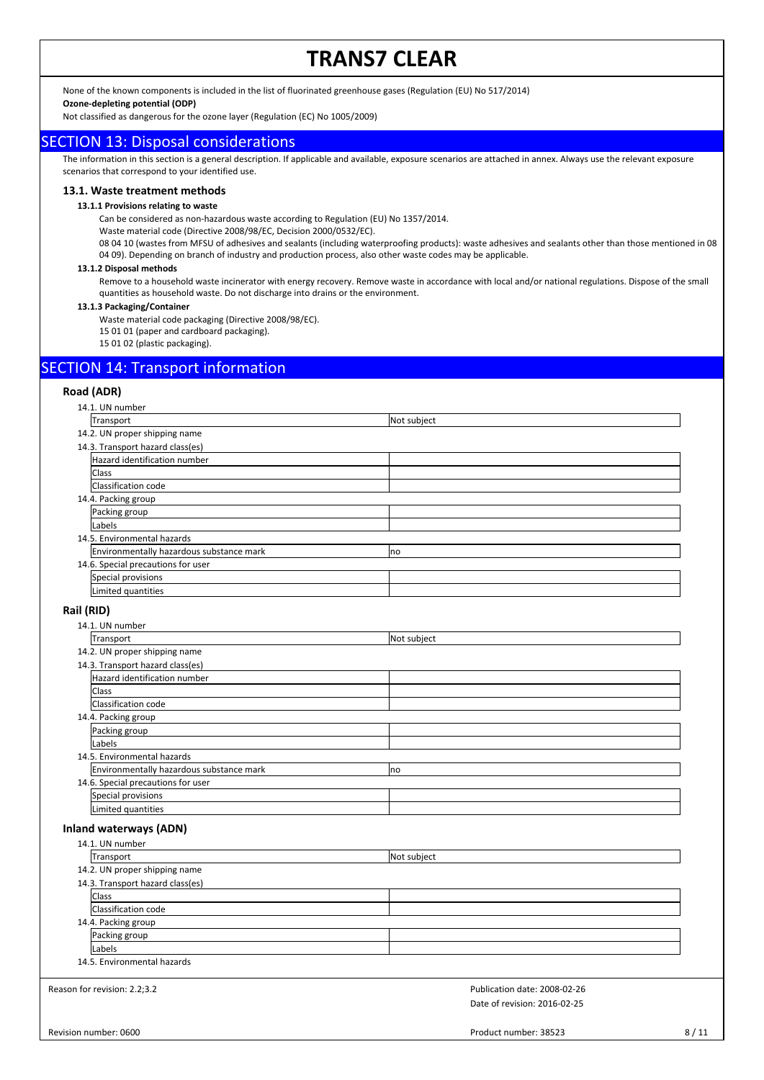None of the known components is included in the list of fluorinated greenhouse gases (Regulation (EU) No 517/2014)

### **Ozone-depleting potential (ODP)**

Not classified as dangerous for the ozone layer (Regulation (EC) No 1005/2009)

### SECTION 13: Disposal considerations

The information in this section is a general description. If applicable and available, exposure scenarios are attached in annex. Always use the relevant exposure scenarios that correspond to your identified use.

### **13.1. Waste treatment methods**

### **13.1.1 Provisions relating to waste**

Can be considered as non-hazardous waste according to Regulation (EU) No 1357/2014.

Waste material code (Directive 2008/98/EC, Decision 2000/0532/EC).

08 04 10 (wastes from MFSU of adhesives and sealants (including waterproofing products): waste adhesives and sealants other than those mentioned in 08 04 09). Depending on branch of industry and production process, also other waste codes may be applicable.

### **13.1.2 Disposal methods**

Remove to a household waste incinerator with energy recovery. Remove waste in accordance with local and/or national regulations. Dispose of the small quantities as household waste. Do not discharge into drains or the environment.

#### **13.1.3 Packaging/Container**

Waste material code packaging (Directive 2008/98/EC).

- 15 01 01 (paper and cardboard packaging).
- 15 01 02 (plastic packaging).

## SECTION 14: Transport information

### **Road (ADR)**

| 14.1. UN number                          |                              |      |
|------------------------------------------|------------------------------|------|
| Transport                                | Not subject                  |      |
| 14.2. UN proper shipping name            |                              |      |
| 14.3. Transport hazard class(es)         |                              |      |
| Hazard identification number             |                              |      |
| Class                                    |                              |      |
| Classification code                      |                              |      |
| 14.4. Packing group                      |                              |      |
| Packing group                            |                              |      |
| Labels                                   |                              |      |
| 14.5. Environmental hazards              |                              |      |
| Environmentally hazardous substance mark | no                           |      |
| 14.6. Special precautions for user       |                              |      |
| Special provisions                       |                              |      |
| Limited quantities                       |                              |      |
|                                          |                              |      |
| Rail (RID)                               |                              |      |
| 14.1. UN number                          |                              |      |
| Transport                                | Not subject                  |      |
| 14.2. UN proper shipping name            |                              |      |
| 14.3. Transport hazard class(es)         |                              |      |
| Hazard identification number             |                              |      |
| Class                                    |                              |      |
| Classification code                      |                              |      |
| 14.4. Packing group                      |                              |      |
| Packing group                            |                              |      |
| Labels                                   |                              |      |
| 14.5. Environmental hazards              |                              |      |
| Environmentally hazardous substance mark | no                           |      |
| 14.6. Special precautions for user       |                              |      |
| Special provisions                       |                              |      |
| Limited quantities                       |                              |      |
| <b>Inland waterways (ADN)</b>            |                              |      |
| 14.1. UN number                          |                              |      |
| Transport                                | Not subject                  |      |
| 14.2. UN proper shipping name            |                              |      |
| 14.3. Transport hazard class(es)         |                              |      |
| <b>Class</b>                             |                              |      |
| Classification code                      |                              |      |
| 14.4. Packing group                      |                              |      |
| Packing group                            |                              |      |
| Labels                                   |                              |      |
| 14.5. Environmental hazards              |                              |      |
| Reason for revision: 2.2;3.2             | Publication date: 2008-02-26 |      |
|                                          | Date of revision: 2016-02-25 |      |
|                                          |                              |      |
| Revision number: 0600                    | Product number: 38523        | 8/11 |
|                                          |                              |      |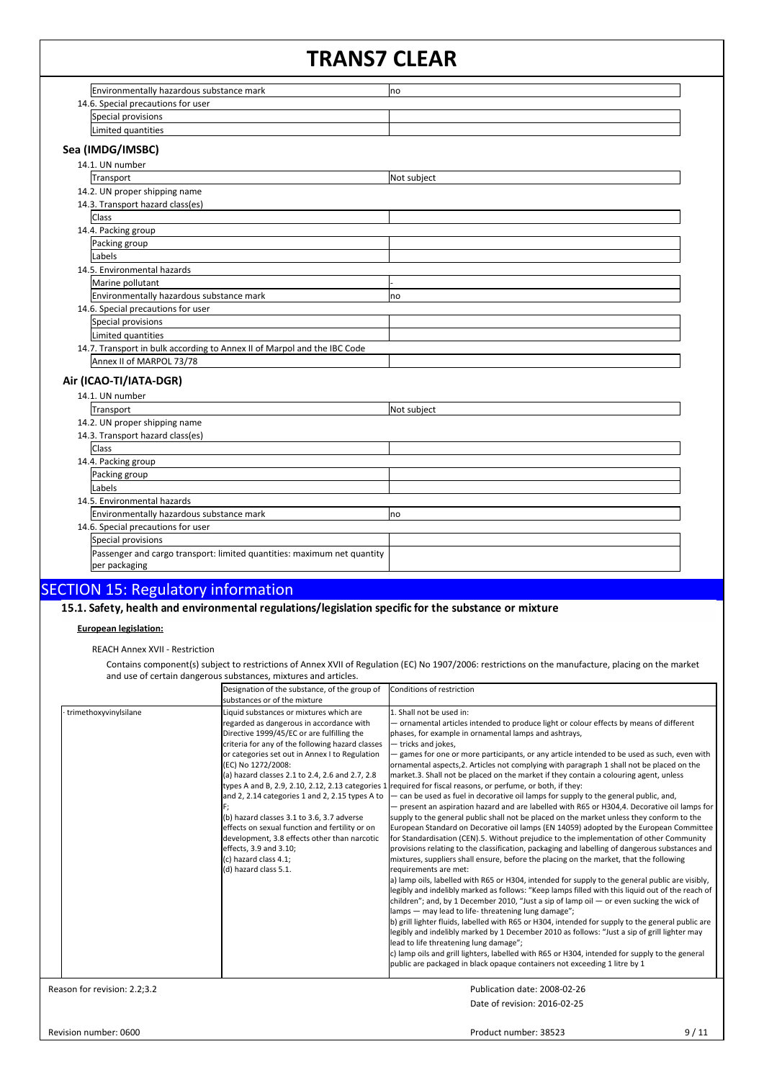| Environmentally hazardous substance mark                                 | no          |  |
|--------------------------------------------------------------------------|-------------|--|
| 14.6. Special precautions for user                                       |             |  |
| Special provisions                                                       |             |  |
| Limited quantities                                                       |             |  |
| Sea (IMDG/IMSBC)                                                         |             |  |
| 14.1. UN number                                                          |             |  |
| Transport                                                                | Not subject |  |
| 14.2. UN proper shipping name                                            |             |  |
|                                                                          |             |  |
| 14.3. Transport hazard class(es)<br>Class                                |             |  |
| 14.4. Packing group                                                      |             |  |
| Packing group                                                            |             |  |
| Labels                                                                   |             |  |
|                                                                          |             |  |
| 14.5. Environmental hazards                                              |             |  |
| Marine pollutant                                                         |             |  |
| Environmentally hazardous substance mark                                 | no          |  |
| 14.6. Special precautions for user                                       |             |  |
| Special provisions                                                       |             |  |
| Limited quantities                                                       |             |  |
| 14.7. Transport in bulk according to Annex II of Marpol and the IBC Code |             |  |
| Annex II of MARPOL 73/78                                                 |             |  |
| Air (ICAO-TI/IATA-DGR)                                                   |             |  |
| 14.1. UN number                                                          |             |  |
| Transport                                                                | Not subject |  |
| 14.2. UN proper shipping name                                            |             |  |
| 14.3. Transport hazard class(es)                                         |             |  |
| Class                                                                    |             |  |
| 14.4. Packing group                                                      |             |  |
| Packing group                                                            |             |  |
| Labels                                                                   |             |  |
| 14.5. Environmental hazards                                              |             |  |
| Environmentally hazardous substance mark                                 | no          |  |
| 14.6. Special precautions for user                                       |             |  |
| Special provisions                                                       |             |  |
| Passenger and cargo transport: limited quantities: maximum net quantity  |             |  |
| per packaging                                                            |             |  |
|                                                                          |             |  |

SECTION 15: Regulatory information<br>| 15.1. Safety, health and environmental regulations/legislation specific for the substance or mixture

### **European legislation:**

REACH Annex XVII - Restriction

Contains component(s) subject to restrictions of Annex XVII of Regulation (EC) No 1907/2006: restrictions on the manufacture, placing on the market and use of certain dangerous substances, mixtures and articles.

|                              | Designation of the substance, of the group of<br>Isubstances or of the mixture                                                                                                                                                                                                                                                                                                                                                                                                                                                                                                                    | Conditions of restriction                                                                                                                                                                                                                                                                                                                                                                                                                                                                                                                                                                                                                                                                                                                                                                                                                                                                                                                                                                                                                                                                                                                                                                                                                                                                                                                                                                                                                                                                                                                                                                                                                                                                                                                                                                                                                                                                                                                                                                                                                                                                         |
|------------------------------|---------------------------------------------------------------------------------------------------------------------------------------------------------------------------------------------------------------------------------------------------------------------------------------------------------------------------------------------------------------------------------------------------------------------------------------------------------------------------------------------------------------------------------------------------------------------------------------------------|---------------------------------------------------------------------------------------------------------------------------------------------------------------------------------------------------------------------------------------------------------------------------------------------------------------------------------------------------------------------------------------------------------------------------------------------------------------------------------------------------------------------------------------------------------------------------------------------------------------------------------------------------------------------------------------------------------------------------------------------------------------------------------------------------------------------------------------------------------------------------------------------------------------------------------------------------------------------------------------------------------------------------------------------------------------------------------------------------------------------------------------------------------------------------------------------------------------------------------------------------------------------------------------------------------------------------------------------------------------------------------------------------------------------------------------------------------------------------------------------------------------------------------------------------------------------------------------------------------------------------------------------------------------------------------------------------------------------------------------------------------------------------------------------------------------------------------------------------------------------------------------------------------------------------------------------------------------------------------------------------------------------------------------------------------------------------------------------------|
| trimethoxyvinylsilane        | Liquid substances or mixtures which are<br>regarded as dangerous in accordance with<br>Directive 1999/45/EC or are fulfilling the<br>criteria for any of the following hazard classes<br>or categories set out in Annex I to Regulation<br>(EC) No 1272/2008:<br>(a) hazard classes 2.1 to 2.4, 2.6 and 2.7, 2.8<br>and 2, 2.14 categories 1 and 2, 2.15 types A to<br>$(b)$ hazard classes 3.1 to 3.6, 3.7 adverse<br>effects on sexual function and fertility or on<br>development, 3.8 effects other than narcotic<br>effects, 3.9 and 3.10;<br>(c) hazard class 4.1;<br>(d) hazard class 5.1. | 1. Shall not be used in:<br>- ornamental articles intended to produce light or colour effects by means of different<br>phases, for example in ornamental lamps and ashtrays,<br>- tricks and jokes,<br>- games for one or more participants, or any article intended to be used as such, even with<br>ornamental aspects, 2. Articles not complying with paragraph 1 shall not be placed on the<br>market.3. Shall not be placed on the market if they contain a colouring agent, unless<br>types A and B, 2.9, 2.10, 2.12, 2.13 categories 1 required for fiscal reasons, or perfume, or both, if they:<br>- can be used as fuel in decorative oil lamps for supply to the general public, and,<br>- present an aspiration hazard and are labelled with R65 or H304,4. Decorative oil lamps for<br>supply to the general public shall not be placed on the market unless they conform to the<br>European Standard on Decorative oil lamps (EN 14059) adopted by the European Committee<br>for Standardisation (CEN).5. Without prejudice to the implementation of other Community<br>provisions relating to the classification, packaging and labelling of dangerous substances and<br>mixtures, suppliers shall ensure, before the placing on the market, that the following<br>requirements are met:<br>a) lamp oils, labelled with R65 or H304, intended for supply to the general public are visibly,<br>legibly and indelibly marked as follows: "Keep lamps filled with this liquid out of the reach of<br>children"; and, by 1 December 2010, "Just a sip of lamp oil $-$ or even sucking the wick of<br>lamps - may lead to life-threatening lung damage";<br>b) grill lighter fluids, labelled with R65 or H304, intended for supply to the general public are<br>legibly and indelibly marked by 1 December 2010 as follows: "Just a sip of grill lighter may<br>lead to life threatening lung damage";<br>c) lamp oils and grill lighters, labelled with R65 or H304, intended for supply to the general<br>public are packaged in black opaque containers not exceeding 1 litre by 1 |
| Reason for revision: 2.2;3.2 |                                                                                                                                                                                                                                                                                                                                                                                                                                                                                                                                                                                                   | Publication date: 2008-02-26                                                                                                                                                                                                                                                                                                                                                                                                                                                                                                                                                                                                                                                                                                                                                                                                                                                                                                                                                                                                                                                                                                                                                                                                                                                                                                                                                                                                                                                                                                                                                                                                                                                                                                                                                                                                                                                                                                                                                                                                                                                                      |

Revision number: 0600

Date of revision: 2016-02-25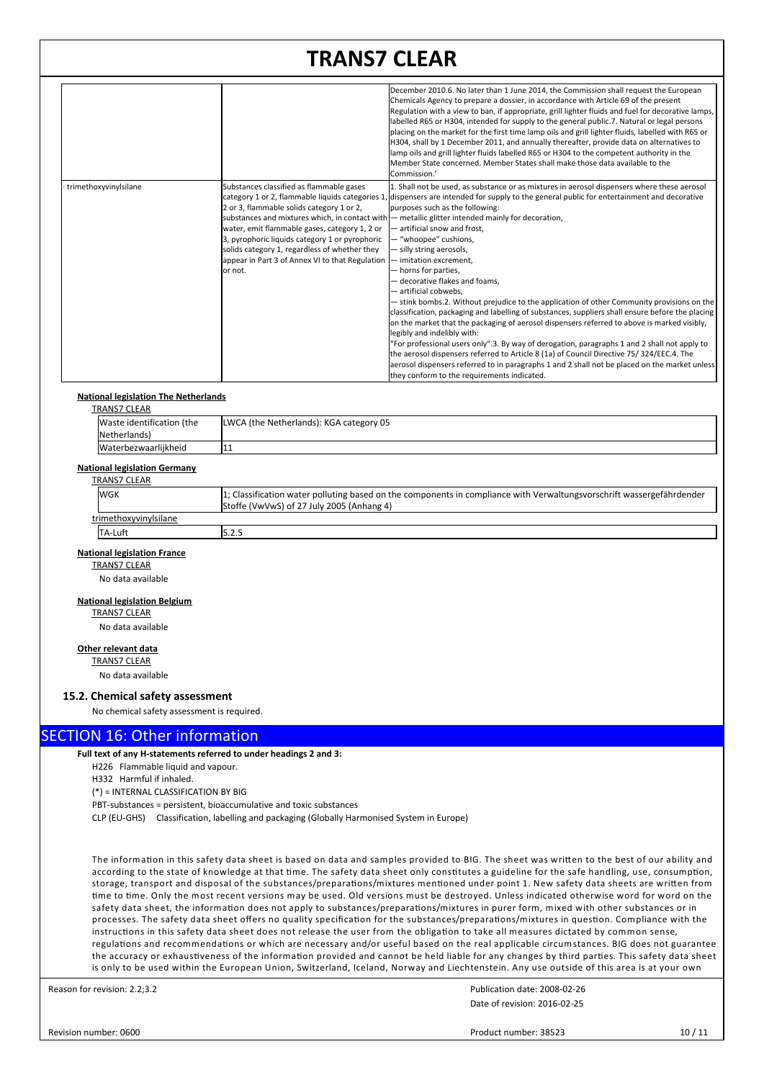|                       |                                                                                                                                                                                                                                                                                                          | December 2010.6. No later than 1 June 2014, the Commission shall request the European<br>Chemicals Agency to prepare a dossier, in accordance with Article 69 of the present<br>Regulation with a view to ban, if appropriate, grill lighter fluids and fuel for decorative lamps,<br>labelled R65 or H304, intended for supply to the general public.7. Natural or legal persons<br>placing on the market for the first time lamp oils and grill lighter fluids, labelled with R65 or<br>H304, shall by 1 December 2011, and annually thereafter, provide data on alternatives to<br>lamp oils and grill lighter fluids labelled R65 or H304 to the competent authority in the<br>Member State concerned. Member States shall make those data available to the<br>Commission.'                                                                                                                                                                                                                                                                                                                                                                                                                                                                               |
|-----------------------|----------------------------------------------------------------------------------------------------------------------------------------------------------------------------------------------------------------------------------------------------------------------------------------------------------|---------------------------------------------------------------------------------------------------------------------------------------------------------------------------------------------------------------------------------------------------------------------------------------------------------------------------------------------------------------------------------------------------------------------------------------------------------------------------------------------------------------------------------------------------------------------------------------------------------------------------------------------------------------------------------------------------------------------------------------------------------------------------------------------------------------------------------------------------------------------------------------------------------------------------------------------------------------------------------------------------------------------------------------------------------------------------------------------------------------------------------------------------------------------------------------------------------------------------------------------------------------|
| trimethoxyvinylsilane | Substances classified as flammable gases<br>2 or 3, flammable solids category 1 or 2,<br>water, emit flammable gases, category 1, 2 or<br>3, pyrophoric liquids category 1 or pyrophoric<br>solids category 1, regardless of whether they<br>appear in Part 3 of Annex VI to that Regulation<br>lor not. | 1. Shall not be used, as substance or as mixtures in aerosol dispensers where these aerosol<br>category 1 or 2, flammable liquids categories 1, dispensers are intended for supply to the general public for entertainment and decorative<br>purposes such as the following:<br>substances and mixtures which, in contact with — metallic glitter intended mainly for decoration,<br>artificial snow and frost,<br>- "whoopee" cushions,<br>- silly string aerosols,<br>- imitation excrement.<br>- horns for parties,<br>- decorative flakes and foams.<br>- artificial cobwebs,<br>- stink bombs.2. Without prejudice to the application of other Community provisions on the<br>classification, packaging and labelling of substances, suppliers shall ensure before the placing<br>on the market that the packaging of aerosol dispensers referred to above is marked visibly,<br>legibly and indelibly with:<br>"For professional users only".3. By way of derogation, paragraphs 1 and 2 shall not apply to<br>the aerosol dispensers referred to Article 8 (1a) of Council Directive 75/324/EEC.4. The<br>aerosol dispensers referred to in paragraphs 1 and 2 shall not be placed on the market unless<br>they conform to the requirements indicated. |

### **National legislation The Netherlands**

| TRANS7 CLEAR              |                                         |
|---------------------------|-----------------------------------------|
| Waste identification (the | LWCA (the Netherlands): KGA category 05 |
| Netherlands)              |                                         |
| Waterbezwaarlijkheid      | 11                                      |

### **National legislation Germany**

| TRANS7 CLEAR          |                                                                                                                       |
|-----------------------|-----------------------------------------------------------------------------------------------------------------------|
| <b>WGK</b>            | 1; Classification water polluting based on the components in compliance with Verwaltungsvorschrift wassergefährdender |
|                       | Stoffe (VwVwS) of 27 July 2005 (Anhang 4)                                                                             |
| trimethoxyvinylsilane |                                                                                                                       |
| TA-Luft               | l5.2.5                                                                                                                |

### **National legislation France**

TRANS7 CLEAR

No data available

### **National legislation Belgium**

TRANS7 CLEAR No data available

### **Other relevant data**

TRANS7 CLEAR No data available

### **15.2. Chemical safety assessment**

No chemical safety assessment is required.

## SECTION 16: Other information

**Full text of any H-statements referred to under headings 2 and 3:**

H226 Flammable liquid and vapour.

H332 Harmful if inhaled.

(\*) = INTERNAL CLASSIFICATION BY BIG

PBT-substances = persistent, bioaccumulative and toxic substances

CLP (EU-GHS) Classification, labelling and packaging (Globally Harmonised System in Europe)

The information in this safety data sheet is based on data and samples provided to BIG. The sheet was written to the best of our ability and according to the state of knowledge at that time. The safety data sheet only constitutes a guideline for the safe handling, use, consumption, storage, transport and disposal of the substances/preparations/mixtures mentioned under point 1. New safety data sheets are written from time to time. Only the most recent versions may be used. Old versions must be destroyed. Unless indicated otherwise word for word on the safety data sheet, the information does not apply to substances/preparations/mixtures in purer form, mixed with other substances or in processes. The safety data sheet offers no quality specification for the substances/preparations/mixtures in question. Compliance with the instructions in this safety data sheet does not release the user from the obligation to take all measures dictated by common sense, regulations and recommendations or which are necessary and/or useful based on the real applicable circumstances. BIG does not guarantee the accuracy or exhaustiveness of the information provided and cannot be held liable for any changes by third parties. This safety data sheet is only to be used within the European Union, Switzerland, Iceland, Norway and Liechtenstein. Any use outside of this area is at your own

Reason for revision: 2.2;3.2